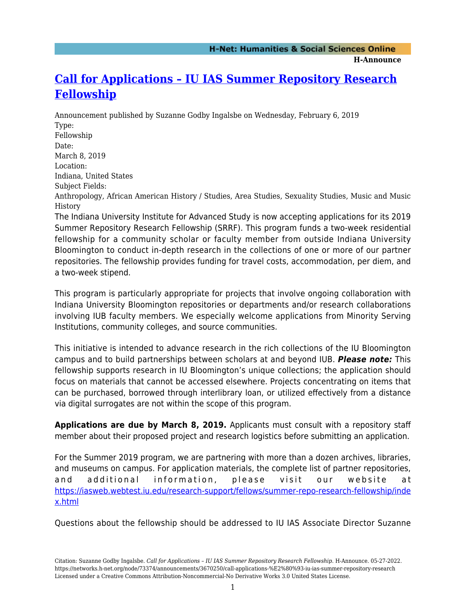**H-Announce** 

## **[Call for Applications – IU IAS Summer Repository Research](https://networks.h-net.org/node/73374/announcements/3670250/call-applications-%E2%80%93-iu-ias-summer-repository-research) [Fellowship](https://networks.h-net.org/node/73374/announcements/3670250/call-applications-%E2%80%93-iu-ias-summer-repository-research)**

Announcement published by Suzanne Godby Ingalsbe on Wednesday, February 6, 2019 Type: Fellowship Date: March 8, 2019 Location: Indiana, United States Subject Fields: Anthropology, African American History / Studies, Area Studies, Sexuality Studies, Music and Music History

The Indiana University Institute for Advanced Study is now accepting applications for its 2019 Summer Repository Research Fellowship (SRRF). This program funds a two-week residential fellowship for a community scholar or faculty member from outside Indiana University Bloomington to conduct in-depth research in the collections of one or more of our partner repositories. The fellowship provides funding for travel costs, accommodation, per diem, and a two-week stipend.

This program is particularly appropriate for projects that involve ongoing collaboration with Indiana University Bloomington repositories or departments and/or research collaborations involving IUB faculty members. We especially welcome applications from Minority Serving Institutions, community colleges, and source communities.

This initiative is intended to advance research in the rich collections of the IU Bloomington campus and to build partnerships between scholars at and beyond IUB. *Please note:* This fellowship supports research in IU Bloomington's unique collections; the application should focus on materials that cannot be accessed elsewhere. Projects concentrating on items that can be purchased, borrowed through interlibrary loan, or utilized effectively from a distance via digital surrogates are not within the scope of this program.

**Applications are due by March 8, 2019.** Applicants must consult with a repository staff member about their proposed project and research logistics before submitting an application.

For the Summer 2019 program, we are partnering with more than a dozen archives, libraries, and museums on campus. For application materials, the complete list of partner repositories, and additional information, please visit our website at [https://iasweb.webtest.iu.edu/research-support/fellows/summer-repo-research-fellowship/inde](https://iasweb.webtest.iu.edu/research-support/fellows/summer-repo-research-fellowship/index.html) [x.html](https://iasweb.webtest.iu.edu/research-support/fellows/summer-repo-research-fellowship/index.html)

Questions about the fellowship should be addressed to IU IAS Associate Director Suzanne